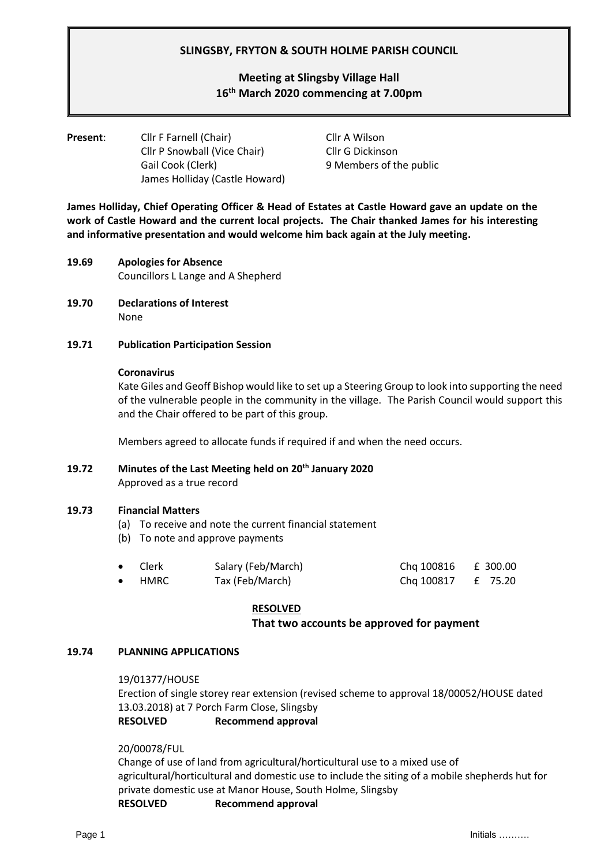## **SLINGSBY, FRYTON & SOUTH HOLME PARISH COUNCIL**

# **Meeting at Slingsby Village Hall 16th March 2020 commencing at 7.00pm**

## **Present:** Cllr F Farnell (Chair) Cllr A Wilson Cllr P Snowball (Vice Chair) Cllr G Dickinson Gail Cook (Clerk) 9 Members of the public James Holliday (Castle Howard)

**James Holliday, Chief Operating Officer & Head of Estates at Castle Howard gave an update on the work of Castle Howard and the current local projects. The Chair thanked James for his interesting and informative presentation and would welcome him back again at the July meeting.**

- **19.69 Apologies for Absence** Councillors L Lange and A Shepherd
- **19.70 Declarations of Interest** None

#### **19.71 Publication Participation Session**

#### **Coronavirus**

Kate Giles and Geoff Bishop would like to set up a Steering Group to look into supporting the need of the vulnerable people in the community in the village. The Parish Council would support this and the Chair offered to be part of this group.

Members agreed to allocate funds if required if and when the need occurs.

**19.72 Minutes of the Last Meeting held on 20th January 2020**

Approved as a true record

#### **19.73 Financial Matters**

- (a) To receive and note the current financial statement
- (b) To note and approve payments

| $\bullet$ | Clerk          | Salary (Feb/March) | Chq 100816 £ 300.00 |  |
|-----------|----------------|--------------------|---------------------|--|
|           | $\bullet$ HMRC | Tax (Feb/March)    | Chq 100817 £ 75.20  |  |

#### **RESOLVED**

## **That two accounts be approved for payment**

#### **19.74 PLANNING APPLICATIONS**

19/01377/HOUSE

Erection of single storey rear extension (revised scheme to approval 18/00052/HOUSE dated 13.03.2018) at 7 Porch Farm Close, Slingsby **RESOLVED Recommend approval**

#### 20/00078/FUL

Change of use of land from agricultural/horticultural use to a mixed use of agricultural/horticultural and domestic use to include the siting of a mobile shepherds hut for private domestic use at Manor House, South Holme, Slingsby **RESOLVED Recommend approval**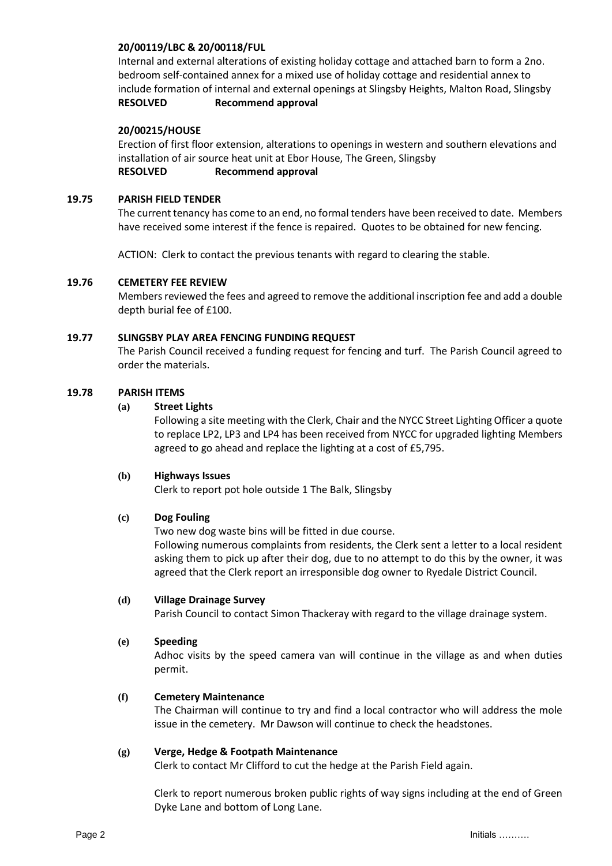#### **20/00119/LBC & 20/00118/FUL**

Internal and external alterations of existing holiday cottage and attached barn to form a 2no. bedroom self-contained annex for a mixed use of holiday cottage and residential annex to include formation of internal and external openings at Slingsby Heights, Malton Road, Slingsby **RESOLVED Recommend approval**

#### **20/00215/HOUSE**

Erection of first floor extension, alterations to openings in western and southern elevations and installation of air source heat unit at Ebor House, The Green, Slingsby **RESOLVED Recommend approval**

#### **19.75 PARISH FIELD TENDER**

The current tenancy has come to an end, no formal tenders have been received to date. Members have received some interest if the fence is repaired. Quotes to be obtained for new fencing.

ACTION: Clerk to contact the previous tenants with regard to clearing the stable.

#### **19.76 CEMETERY FEE REVIEW**

Members reviewed the fees and agreed to remove the additional inscription fee and add a double depth burial fee of £100.

## **19.77 SLINGSBY PLAY AREA FENCING FUNDING REQUEST**

The Parish Council received a funding request for fencing and turf. The Parish Council agreed to order the materials.

## **19.78 PARISH ITEMS**

## **(a) Street Lights**

Following a site meeting with the Clerk, Chair and the NYCC Street Lighting Officer a quote to replace LP2, LP3 and LP4 has been received from NYCC for upgraded lighting Members agreed to go ahead and replace the lighting at a cost of £5,795.

#### **(b) Highways Issues**

Clerk to report pot hole outside 1 The Balk, Slingsby

#### **(c) Dog Fouling**

Two new dog waste bins will be fitted in due course. Following numerous complaints from residents, the Clerk sent a letter to a local resident asking them to pick up after their dog, due to no attempt to do this by the owner, it was agreed that the Clerk report an irresponsible dog owner to Ryedale District Council.

#### **(d) Village Drainage Survey**

Parish Council to contact Simon Thackeray with regard to the village drainage system.

#### **(e) Speeding**

Adhoc visits by the speed camera van will continue in the village as and when duties permit.

#### **(f) Cemetery Maintenance**

The Chairman will continue to try and find a local contractor who will address the mole issue in the cemetery. Mr Dawson will continue to check the headstones.

#### **(g) Verge, Hedge & Footpath Maintenance**

Clerk to contact Mr Clifford to cut the hedge at the Parish Field again.

Clerk to report numerous broken public rights of way signs including at the end of Green Dyke Lane and bottom of Long Lane.